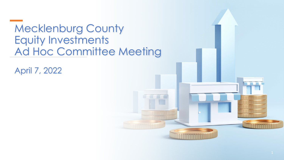### Mecklenburg County Equity Investments Ad Hoc Committee Meeting

April 7, 2022

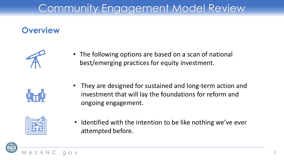## Community Engagement Model Review

#### **Overview**



• The following options are based on a scan of national best/emerging practices for equity investment.

• They are designed for sustained and long-term action and investment that will lay the foundations for reform and ongoing engagement.



• Identified with the intention to be like nothing we've ever attempted before.

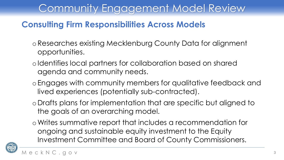### Community Engagement Model Review

#### **Consulting Firm Responsibilities Across Models**

- oResearches existing Mecklenburg County Data for alignment opportunities.
- oIdentifies local partners for collaboration based on shared agenda and community needs.
- oEngages with community members for qualitative feedback and lived experiences (potentially sub-contracted).
- oDrafts plans for implementation that are specific but aligned to the goals of an overarching model.
- oWrites summative report that includes a recommendation for ongoing and sustainable equity investment to the Equity Investment Committee and Board of County Commissioners.

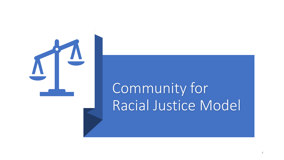

# Community for Racial Justice Model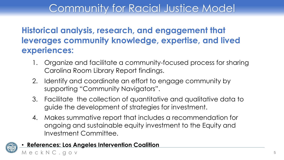### Community for Racial Justice Model

#### **Historical analysis, research, and engagement that leverages community knowledge, expertise, and lived experiences:**

- 1. Organize and facilitate a community-focused process for sharing Carolina Room Library Report findings.
- 2. Identify and coordinate an effort to engage community by supporting "Community Navigators".
- 3. Facilitate the collection of quantitative and qualitative data to guide the development of strategies for investment.
- 4. Makes summative report that includes a recommendation for ongoing and sustainable equity investment to the Equity and Investment Committee.

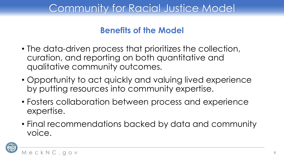### Community for Racial Justice Model

#### **Benefits of the Model**

- The data-driven process that prioritizes the collection, curation, and reporting on both quantitative and qualitative community outcomes.
- Opportunity to act quickly and valuing lived experience by putting resources into community expertise.
- Fosters collaboration between process and experience expertise.
- Final recommendations backed by data and community voice.